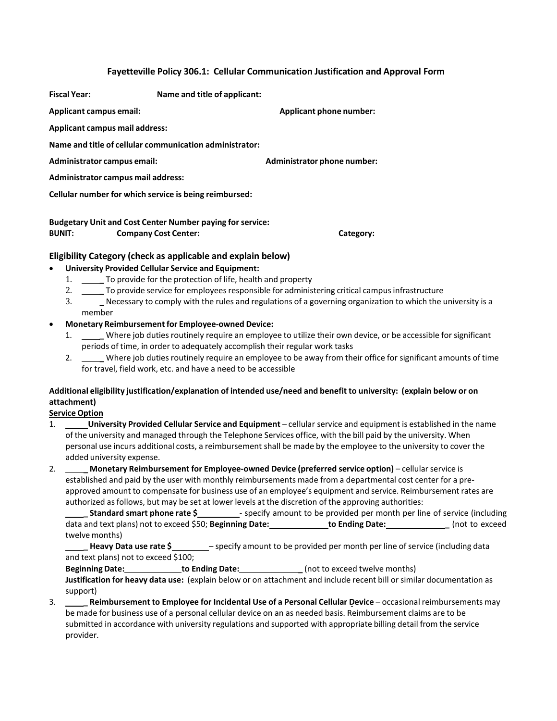### **Fayetteville Policy 306.1: Cellular Communication Justification and Approval Form**

**Fiscal Year: Name and title of applicant:**

**Applicant campus email: Applicant phone number:**

**Applicant campus mail address:**

**Name and title of cellular communication administrator:**

**Administrator campus email: Administrator phone number:**

**Administrator campus mail address:**

**Cellular number for which service is being reimbursed:**

**Budgetary Unit and Cost Center Number paying for service: BUNIT: Company Cost Center: Category:**

## **Eligibility Category (check as applicable and explain below)**

## • **University Provided Cellular Service and Equipment:**

- 1.  $\qquad \qquad \qquad$ To provide for the protection of life, health and property<br>2. To provide service for employees responsible for administ
- <sup>1</sup> a provide service for employees responsible for administering critical campus infrastructure
- 3. **\_\_\_\_\_** Necessary to comply with the rules and regulations of a governing organization to which the university is a member
- **Monetary Reimbursementfor Employee-owned Device:**
	- 1. **\_\_\_\_**Where job duties routinely require an employee to utilize their own device, or be accessible for significant periods of time, in order to adequately accomplish their regular work tasks
	- 2. **\_** Where job duties routinely require an employee to be away from their office for significant amounts of time for travel, field work, etc. and have a need to be accessible

# **Additional eligibility justification/explanation of intended use/need and benefit to university: (explain below or on attachment)**

## **Service Option**

- 1. **University Provided Cellular Service and Equipment** cellular service and equipment is established in the name of the university and managed through the Telephone Services office, with the bill paid by the university. When personal use incurs additional costs, a reimbursement shall be made by the employee to the university to cover the added university expense.
- 2. **\_ Monetary Reimbursement for Employee-owned Device (preferred service option)** cellularservice is established and paid by the user with monthly reimbursements made from a departmental cost center for a preapproved amount to compensate for business use of an employee's equipment and service. Reimbursement rates are authorized asfollows, but may be set at lower levels at the discretion of the approving authorities:

**Standard smart phone rate \$\_\_\_\_\_\_\_\_\_** specify amount to be provided per month per line of service (including data and text plans) not to exceed \$50; **Beginning Date: to Ending Date: \_** (not to exceed twelve months)

**Heavy Data use rate \$** – specify amount to be provided per month per line of service (including data and text plans) not to exceed \$100;

**Beginning Date: https://willengereducer/inducer/inducer/inducer/inducer/inducer/inducer/inducer/inducer/inducer/inducer/inducer/inducer/inducer/inducer/inducer/inducer/inducer/inducer/inducer/inducer/inducer/inducer/ind** 

**Justification for heavy data use:** (explain below or on attachment and include recent bill orsimilar documentation as support)

3. **\_ Reimbursement to Employee for Incidental Use of a Personal Cellular Device** – occasional reimbursements may be made for business use of a personal cellular device on an as needed basis. Reimbursement claims are to be submitted in accordance with university regulations and supported with appropriate billing detail from the service provider.